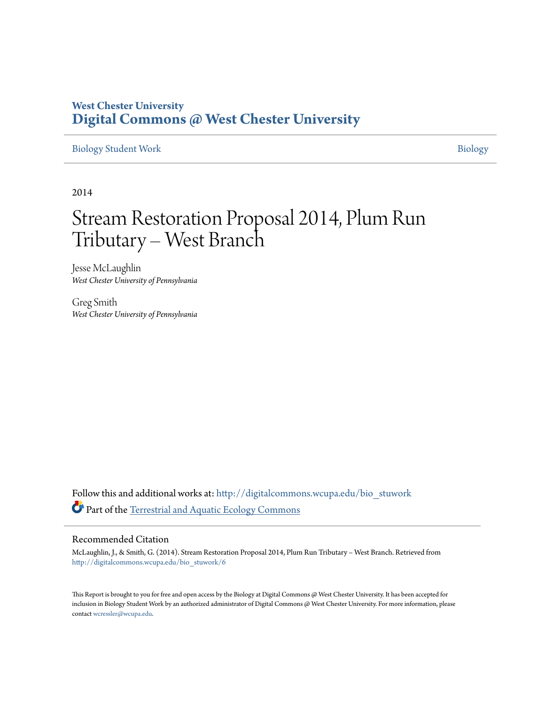#### **West Chester University [Digital Commons @ West Chester University](http://digitalcommons.wcupa.edu?utm_source=digitalcommons.wcupa.edu%2Fbio_stuwork%2F6&utm_medium=PDF&utm_campaign=PDFCoverPages)**

[Biology Student Work](http://digitalcommons.wcupa.edu/bio_stuwork?utm_source=digitalcommons.wcupa.edu%2Fbio_stuwork%2F6&utm_medium=PDF&utm_campaign=PDFCoverPages) **[Biology](http://digitalcommons.wcupa.edu/bio?utm_source=digitalcommons.wcupa.edu%2Fbio_stuwork%2F6&utm_medium=PDF&utm_campaign=PDFCoverPages)** 

2014

#### Stream Restoration Proposal 2014, Plum Run Tributary – West Branch

Jesse McLaughlin *West Chester University of Pennsylvania*

Greg Smith *West Chester University of Pennsylvania*

Follow this and additional works at: [http://digitalcommons.wcupa.edu/bio\\_stuwork](http://digitalcommons.wcupa.edu/bio_stuwork?utm_source=digitalcommons.wcupa.edu%2Fbio_stuwork%2F6&utm_medium=PDF&utm_campaign=PDFCoverPages) Part of the [Terrestrial and Aquatic Ecology Commons](http://network.bepress.com/hgg/discipline/20?utm_source=digitalcommons.wcupa.edu%2Fbio_stuwork%2F6&utm_medium=PDF&utm_campaign=PDFCoverPages)

#### Recommended Citation

McLaughlin, J., & Smith, G. (2014). Stream Restoration Proposal 2014, Plum Run Tributary – West Branch. Retrieved from [http://digitalcommons.wcupa.edu/bio\\_stuwork/6](http://digitalcommons.wcupa.edu/bio_stuwork/6?utm_source=digitalcommons.wcupa.edu%2Fbio_stuwork%2F6&utm_medium=PDF&utm_campaign=PDFCoverPages)

This Report is brought to you for free and open access by the Biology at Digital Commons @ West Chester University. It has been accepted for inclusion in Biology Student Work by an authorized administrator of Digital Commons @ West Chester University. For more information, please contact [wcressler@wcupa.edu.](mailto:wcressler@wcupa.edu)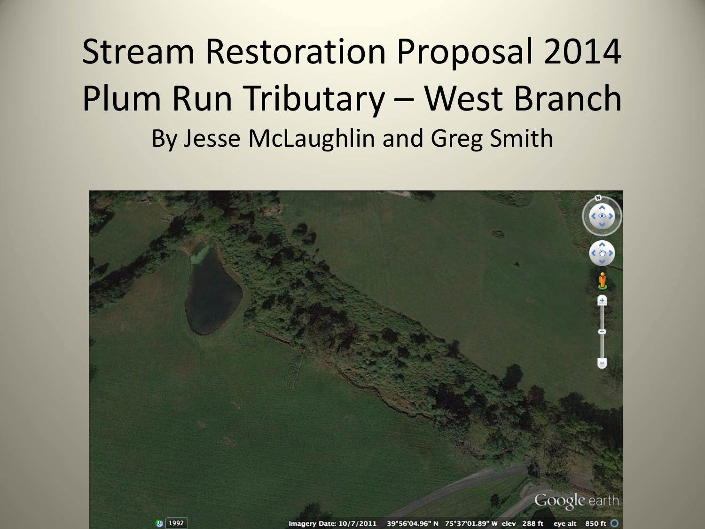#### Stream Restoration Proposal 2014 Plum Run Tributary – West Branch By Jesse McLaughlin and Greg Smith

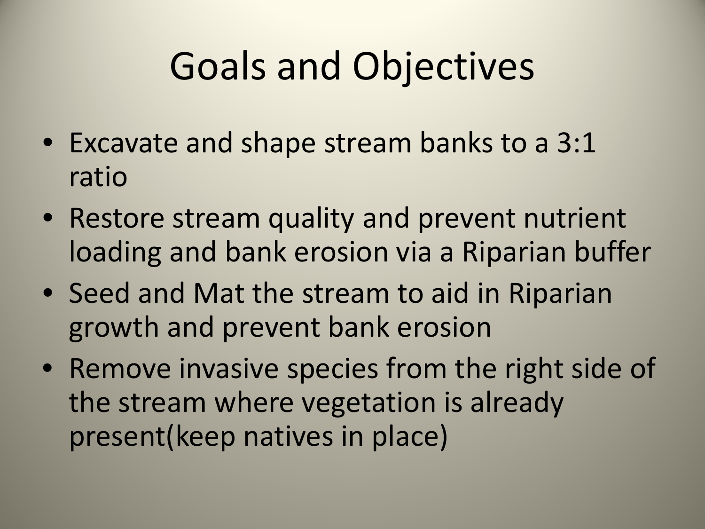# Goals and Objectives

- Excavate and shape stream banks to a 3:1 ratio
- Restore stream quality and prevent nutrient loading and bank erosion via a Riparian buffer
- Seed and Mat the stream to aid in Riparian growth and prevent bank erosion
- Remove invasive species from the right side of the stream where vegetation is already present(keep natives in place)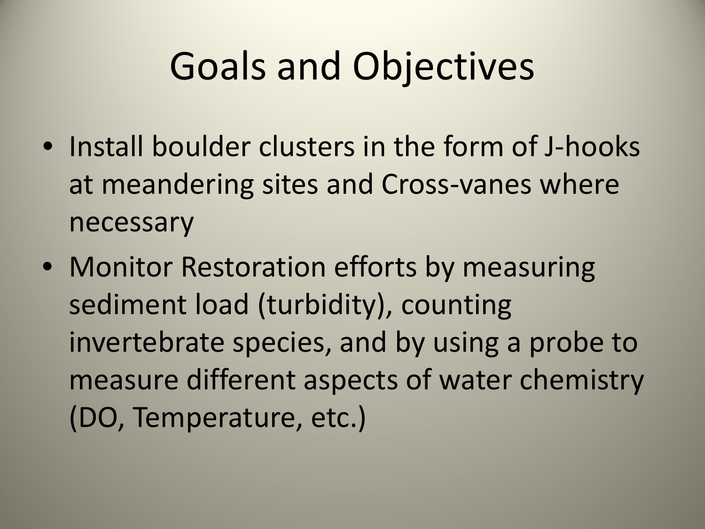### Goals and Objectives

- Install boulder clusters in the form of J-hooks at meandering sites and Cross-vanes where necessary
- Monitor Restoration efforts by measuring sediment load (turbidity), counting invertebrate species, and by using a probe to measure different aspects of water chemistry (DO, Temperature, etc.)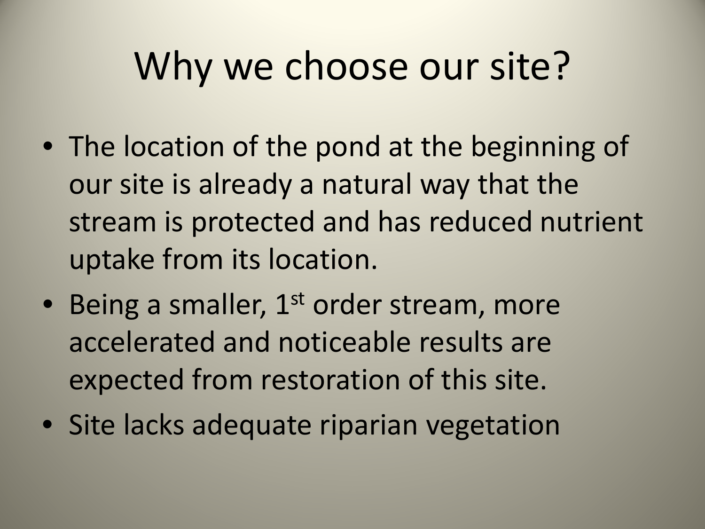# Why we choose our site?

- The location of the pond at the beginning of our site is already a natural way that the stream is protected and has reduced nutrient uptake from its location.
- Being a smaller, 1<sup>st</sup> order stream, more accelerated and noticeable results are expected from restoration of this site.
- Site lacks adequate riparian vegetation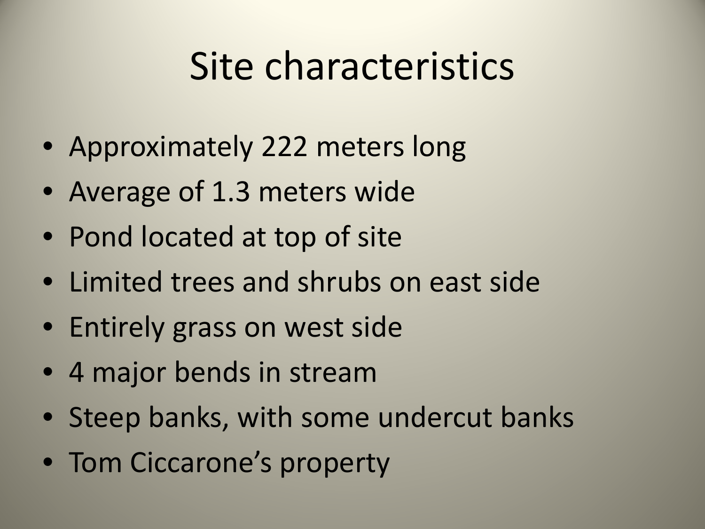#### Site characteristics

- Approximately 222 meters long
- Average of 1.3 meters wide
- Pond located at top of site
- Limited trees and shrubs on east side
- Entirely grass on west side
- 4 major bends in stream
- Steep banks, with some undercut banks
- Tom Ciccarone's property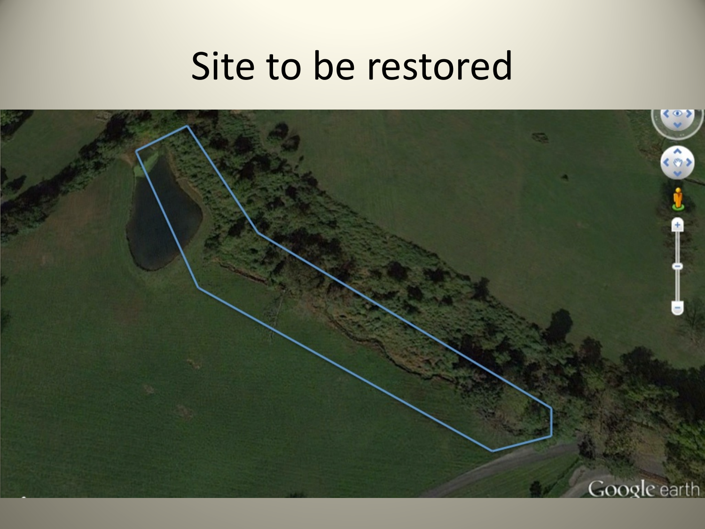#### Site to be restored

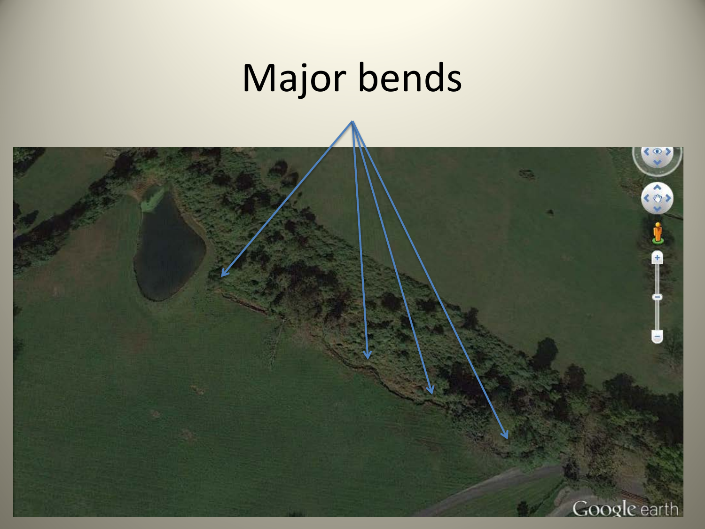# Major bends

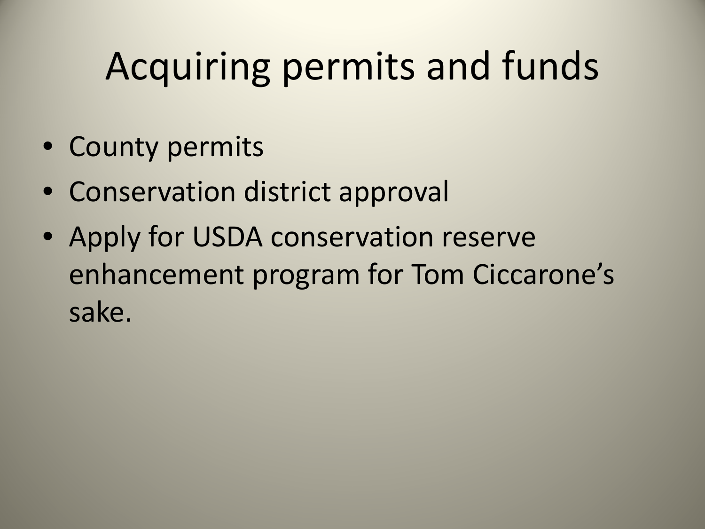# Acquiring permits and funds

- County permits
- Conservation district approval
- Apply for USDA conservation reserve enhancement program for Tom Ciccarone's sake.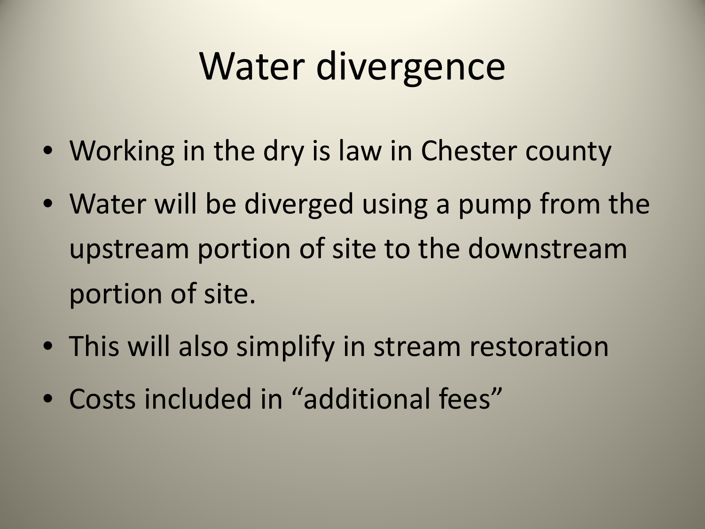# Water divergence

- Working in the dry is law in Chester county
- Water will be diverged using a pump from the upstream portion of site to the downstream portion of site.
- This will also simplify in stream restoration
- Costs included in "additional fees"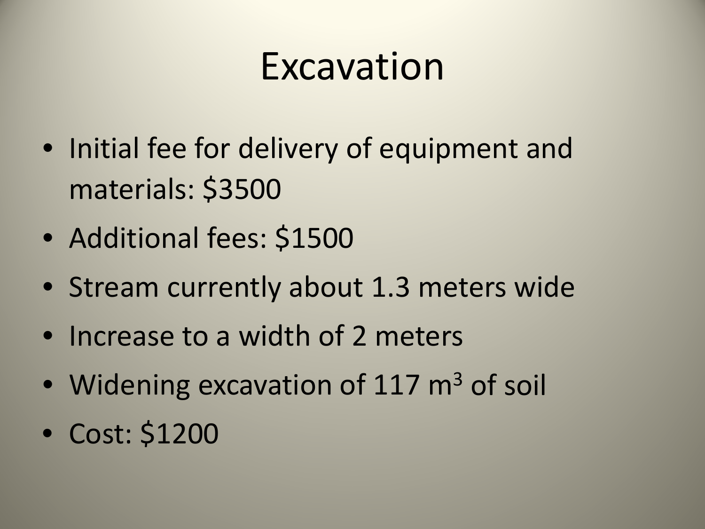#### Excavation

- Initial fee for delivery of equipment and materials: \$3500
- Additional fees: \$1500
- Stream currently about 1.3 meters wide
- Increase to a width of 2 meters
- Widening excavation of 117  $m<sup>3</sup>$  of soil
- Cost: \$1200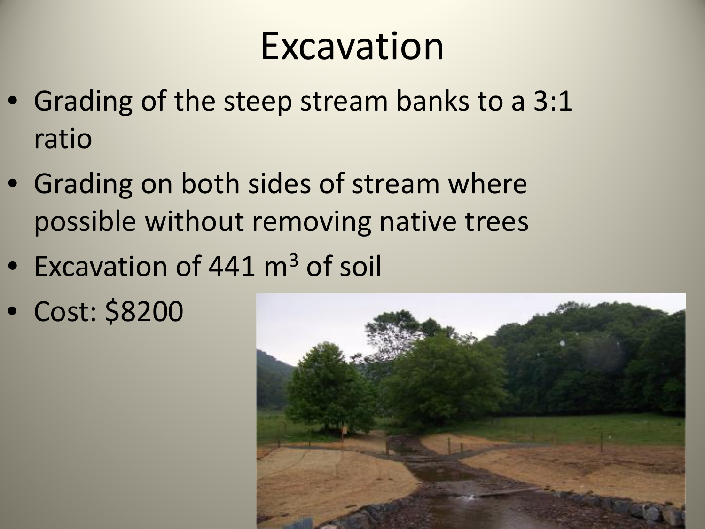#### Excavation

- Grading of the steep stream banks to a 3:1 ratio
- Grading on both sides of stream where possible without removing native trees
- Excavation of  $441 \text{ m}^3$  of soil
- Cost: \$8200

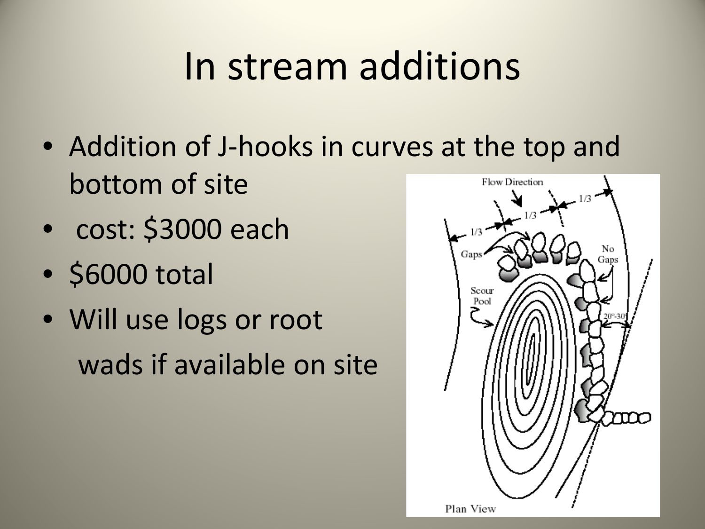#### In stream additions

- Addition of J-hooks in curves at the top and bottom of site Flow Direction
- cost: \$3000 each
- \$6000 total
- Will use logs or root wads if available on site

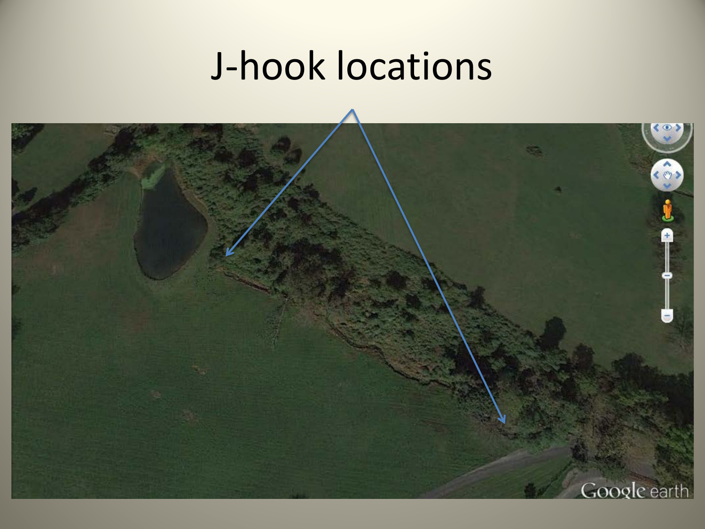#### J-hook locations

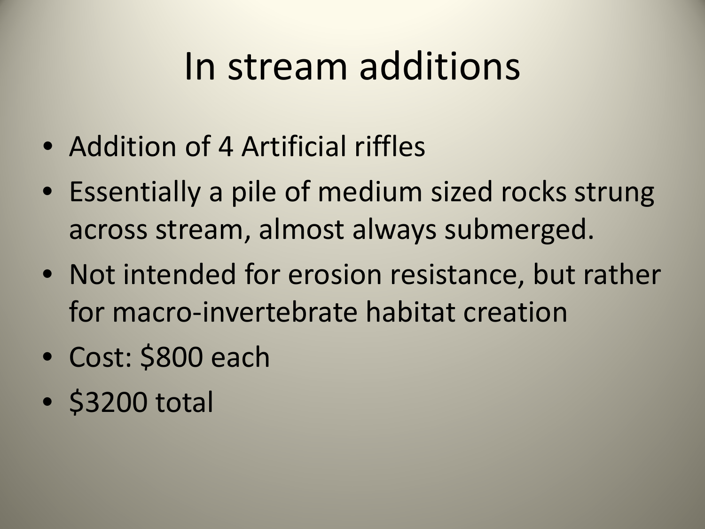#### In stream additions

- Addition of 4 Artificial riffles
- Essentially a pile of medium sized rocks strung across stream, almost always submerged.
- Not intended for erosion resistance, but rather for macro-invertebrate habitat creation
- Cost: \$800 each
- \$3200 total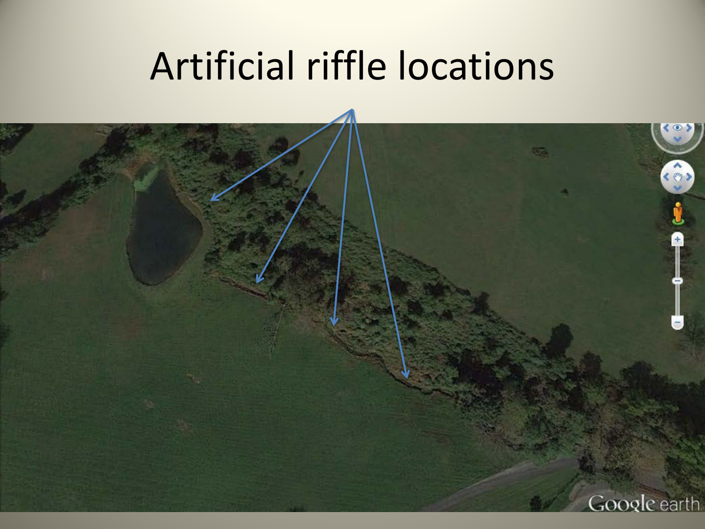#### Artificial riffle locations

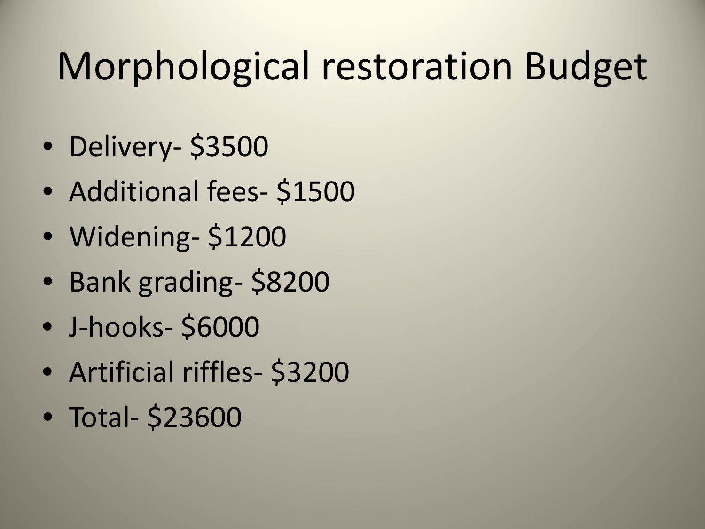# Morphological restoration Budget

- Delivery- \$3500
- Additional fees- \$1500
- Widening- \$1200
- Bank grading- \$8200
- J-hooks- \$6000
- Artificial riffles- \$3200
- Total- \$23600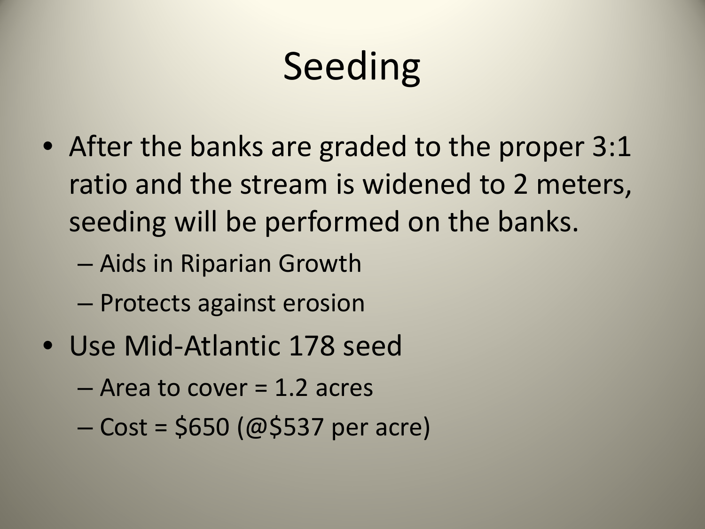# Seeding

- After the banks are graded to the proper 3:1 ratio and the stream is widened to 2 meters, seeding will be performed on the banks.
	- Aids in Riparian Growth
	- Protects against erosion
- Use Mid-Atlantic 178 seed
	- Area to cover = 1.2 acres
	- $-$  Cost = \$650 (@\$537 per acre)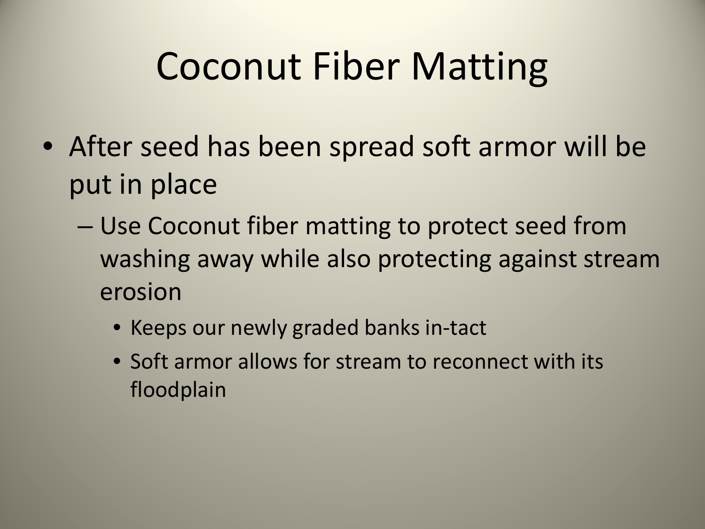# Coconut Fiber Matting

- After seed has been spread soft armor will be put in place
	- Use Coconut fiber matting to protect seed from washing away while also protecting against stream erosion
		- Keeps our newly graded banks in-tact
		- Soft armor allows for stream to reconnect with its floodplain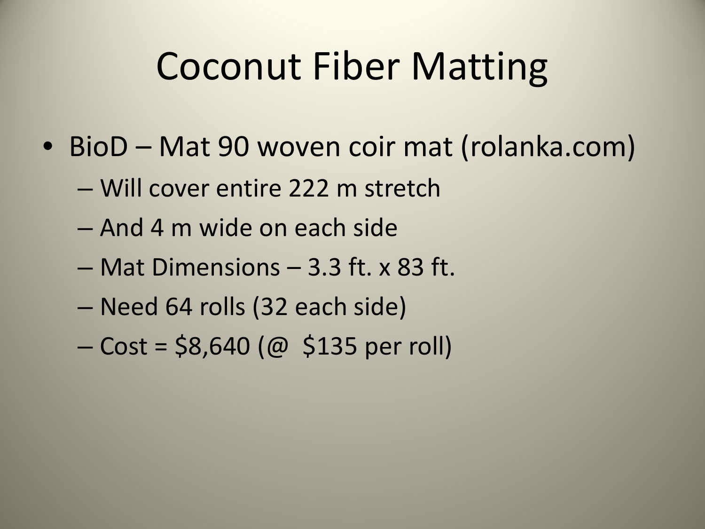#### Coconut Fiber Matting

- BioD Mat 90 woven coir mat (rolanka.com)
	- Will cover entire 222 m stretch
	- And 4 m wide on each side
	- Mat Dimensions 3.3 ft. x 83 ft.
	- Need 64 rolls (32 each side)
	- $-$  Cost = \$8,640 (@ \$135 per roll)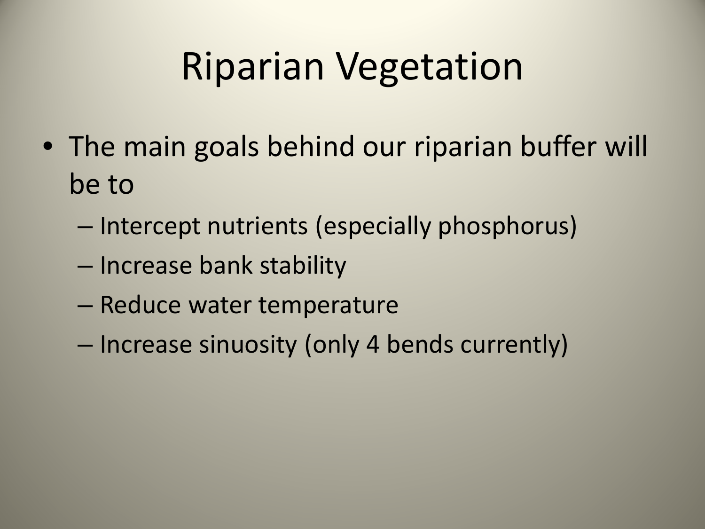- The main goals behind our riparian buffer will be to
	- Intercept nutrients (especially phosphorus)
	- Increase bank stability
	- Reduce water temperature
	- Increase sinuosity (only 4 bends currently)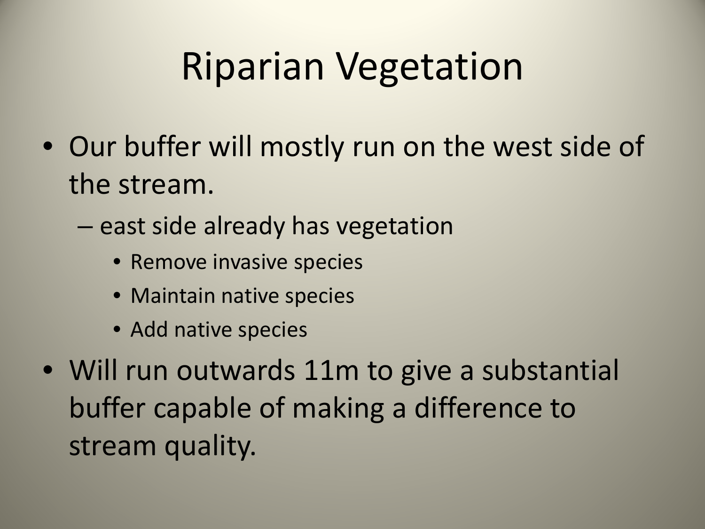- Our buffer will mostly run on the west side of the stream.
	- east side already has vegetation
		- Remove invasive species
		- Maintain native species
		- Add native species
- Will run outwards 11m to give a substantial buffer capable of making a difference to stream quality.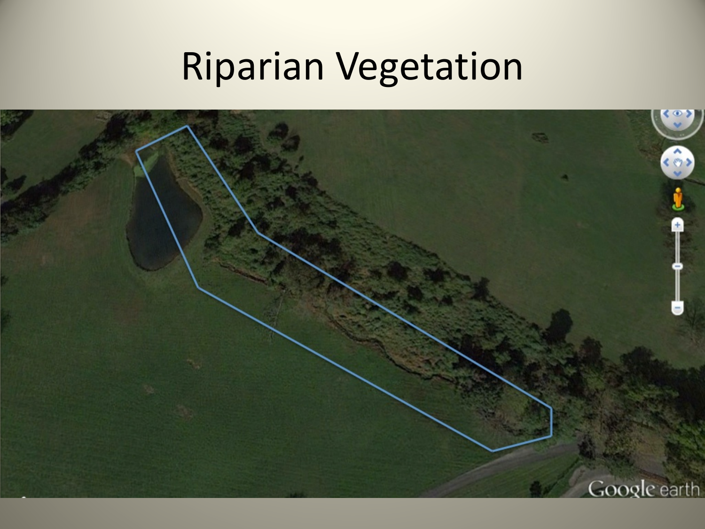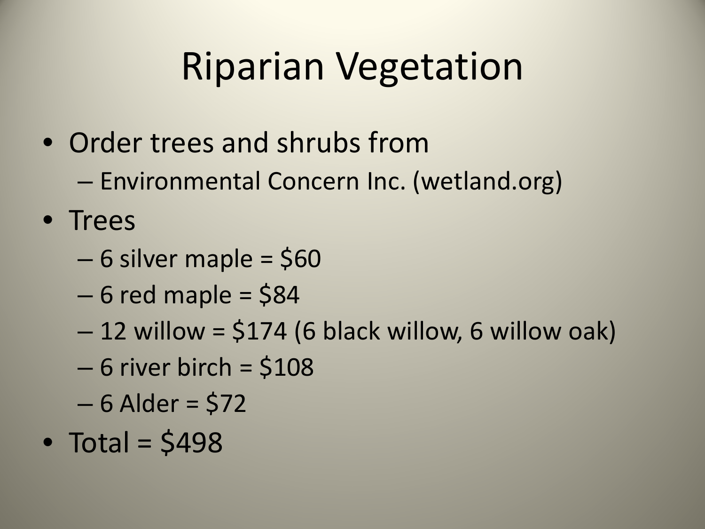- Order trees and shrubs from
	- Environmental Concern Inc. (wetland.org)
- Trees
	- $-6$  silver maple = \$60
	- $-6$  red maple =  $$84$
	- $-12$  willow = \$174 (6 black willow, 6 willow oak)
	- $-6$  river birch = \$108
	- $-6$  Alder = \$72
- $\bullet$  Total = \$498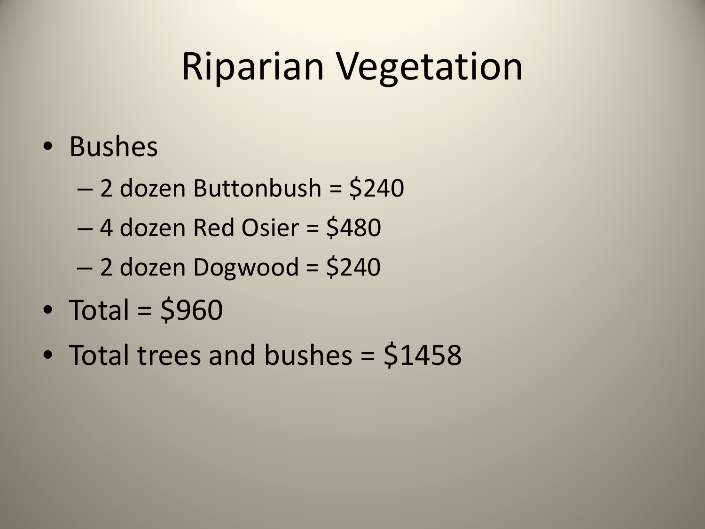- Bushes
	- 2 dozen Buttonbush = \$240
	- 4 dozen Red Osier = \$480
	- 2 dozen Dogwood = \$240
- $\bullet$  Total = \$960
- Total trees and bushes = \$1458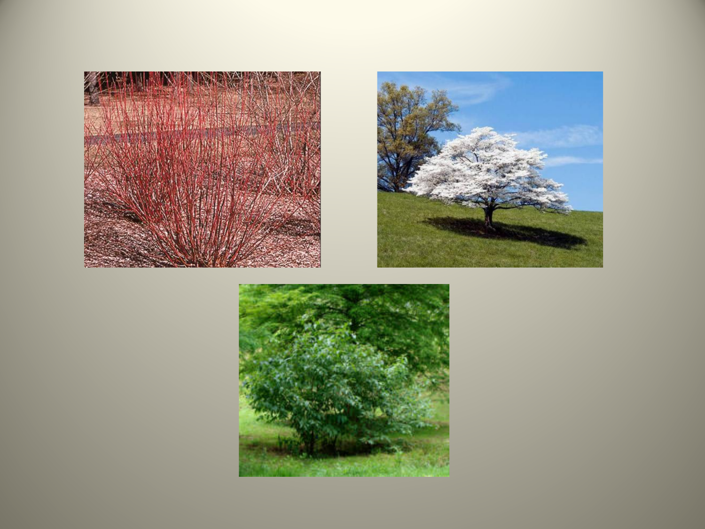



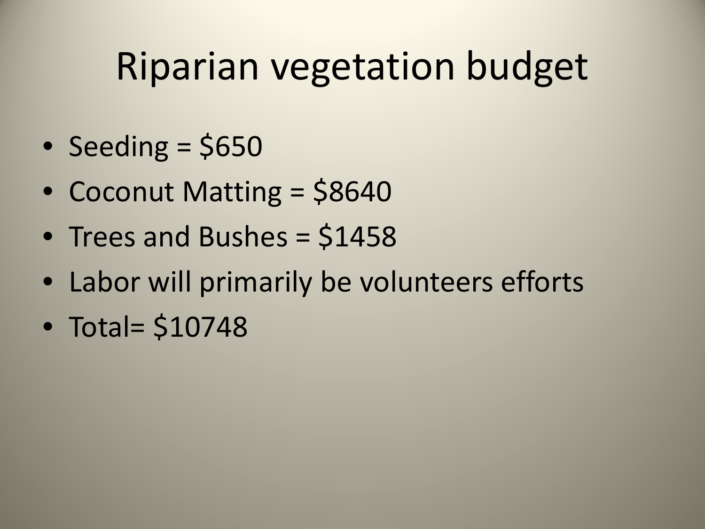#### Riparian vegetation budget

- Seeding  $=$  \$650
- Coconut Matting = \$8640
- Trees and Bushes = \$1458
- Labor will primarily be volunteers efforts
- Total= \$10748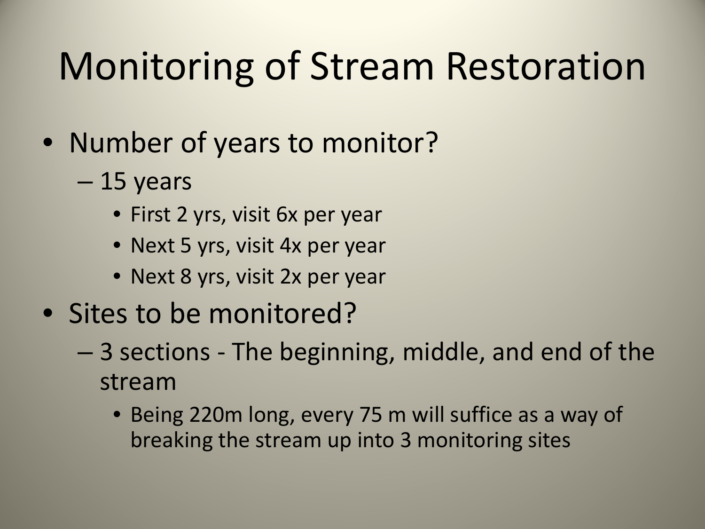# Monitoring of Stream Restoration

- Number of years to monitor?
	- $-15$  years
		- First 2 yrs, visit 6x per year
		- Next 5 yrs, visit 4x per year
		- Next 8 yrs, visit 2x per year
- Sites to be monitored?
	- 3 sections The beginning, middle, and end of the stream
		- Being 220m long, every 75 m will suffice as a way of breaking the stream up into 3 monitoring sites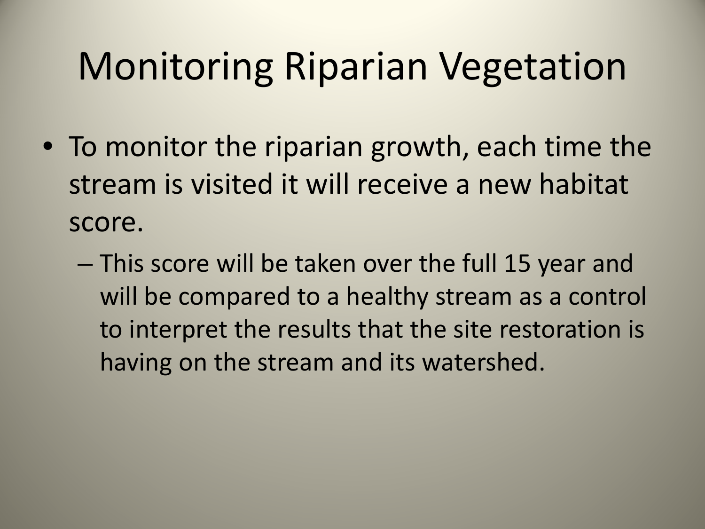# Monitoring Riparian Vegetation

- To monitor the riparian growth, each time the stream is visited it will receive a new habitat score.
	- This score will be taken over the full 15 year and will be compared to a healthy stream as a control to interpret the results that the site restoration is having on the stream and its watershed.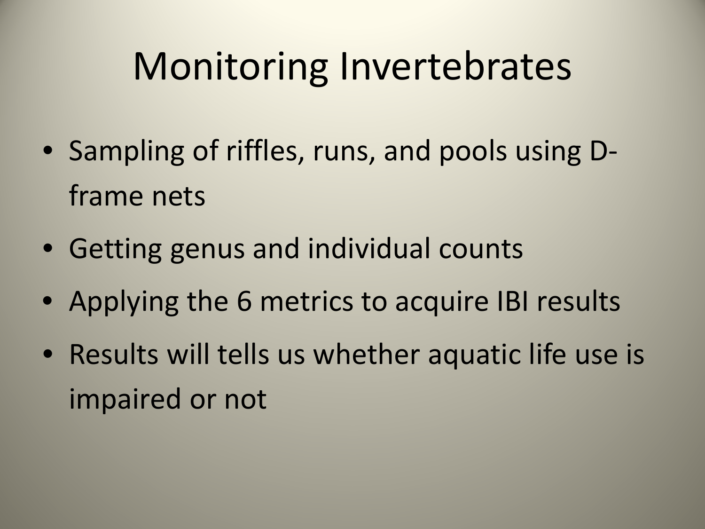# Monitoring Invertebrates

- Sampling of riffles, runs, and pools using Dframe nets
- Getting genus and individual counts
- Applying the 6 metrics to acquire IBI results
- Results will tells us whether aquatic life use is impaired or not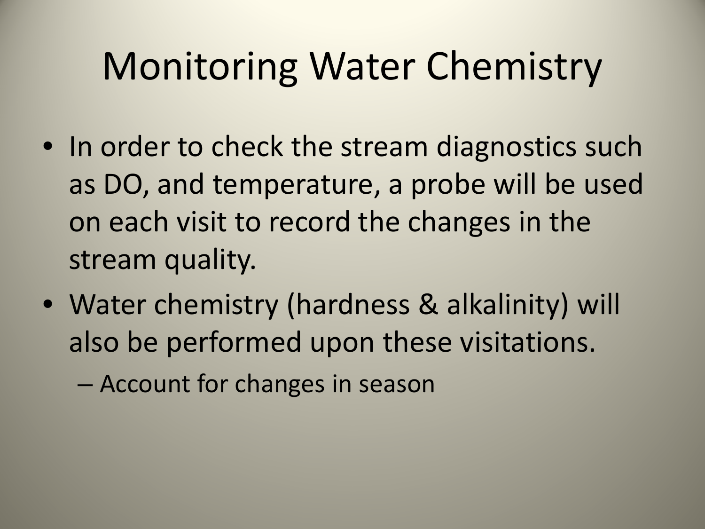# Monitoring Water Chemistry

- In order to check the stream diagnostics such as DO, and temperature, a probe will be used on each visit to record the changes in the stream quality.
- Water chemistry (hardness & alkalinity) will also be performed upon these visitations.

– Account for changes in season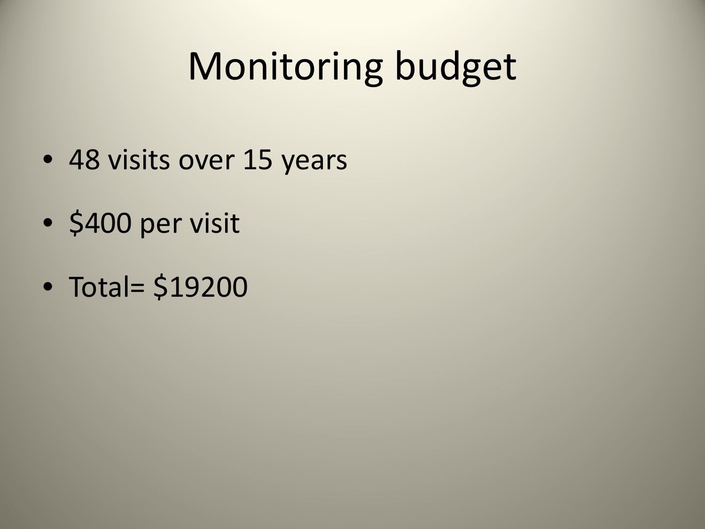# Monitoring budget

- 48 visits over 15 years
- \$400 per visit
- Total= \$19200